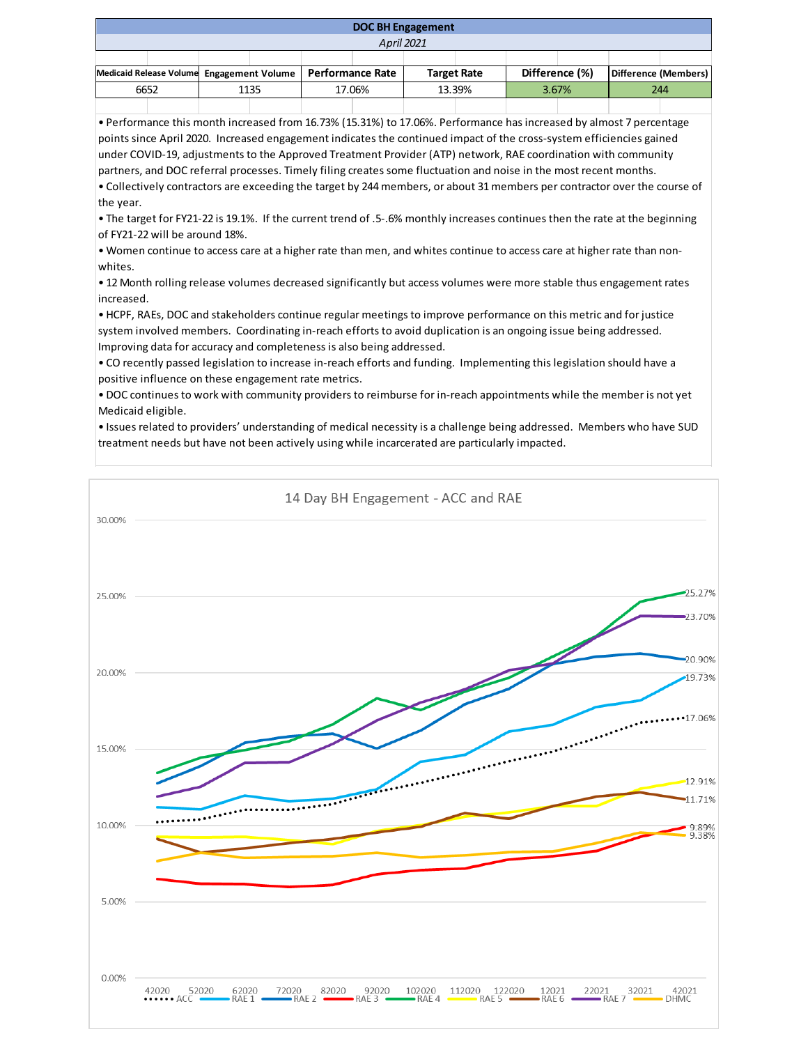| <b>DOC BH Engagement</b>                  |  |      |  |                  |  |                    |  |                |  |                      |  |
|-------------------------------------------|--|------|--|------------------|--|--------------------|--|----------------|--|----------------------|--|
| <b>April 2021</b>                         |  |      |  |                  |  |                    |  |                |  |                      |  |
|                                           |  |      |  |                  |  |                    |  |                |  |                      |  |
| Medicaid Release Volume Engagement Volume |  |      |  | Performance Rate |  | <b>Target Rate</b> |  | Difference (%) |  | Difference (Members) |  |
| 6652                                      |  | 1135 |  | 17.06%           |  | 13.39%             |  | 3.67%          |  | 244                  |  |
|                                           |  |      |  |                  |  |                    |  |                |  |                      |  |

• Performance this month increased from 16.73% (15.31%) to 17.06%. Performance has increased by almost 7 percentage points since April 2020. Increased engagement indicates the continued impact of the cross-system efficiencies gained under COVID-19, adjustments to the Approved Treatment Provider (ATP) network, RAE coordination with community partners, and DOC referral processes. Timely filing creates some fluctuation and noise in the most recent months. • Collectively contractors are exceeding the target by 244 members, or about 31 members per contractor over the course of the year.

• The target for FY21-22 is 19.1%. If the current trend of .5-.6% monthly increases continues then the rate at the beginning of FY21-22 will be around 18%.

• Women continue to access care at a higher rate than men, and whites continue to access care at higher rate than nonwhites.

• 12 Month rolling release volumes decreased significantly but access volumes were more stable thus engagement rates increased.

• HCPF, RAEs, DOC and stakeholders continue regular meetings to improve performance on this metric and for justice system involved members. Coordinating in-reach efforts to avoid duplication is an ongoing issue being addressed. Improving data for accuracy and completeness is also being addressed.

• CO recently passed legislation to increase in-reach efforts and funding. Implementing this legislation should have a positive influence on these engagement rate metrics.

• DOC continues to work with community providers to reimburse for in-reach appointments while the member is not yet Medicaid eligible.

• Issues related to providers' understanding of medical necessity is a challenge being addressed. Members who have SUD treatment needs but have not been actively using while incarcerated are particularly impacted.

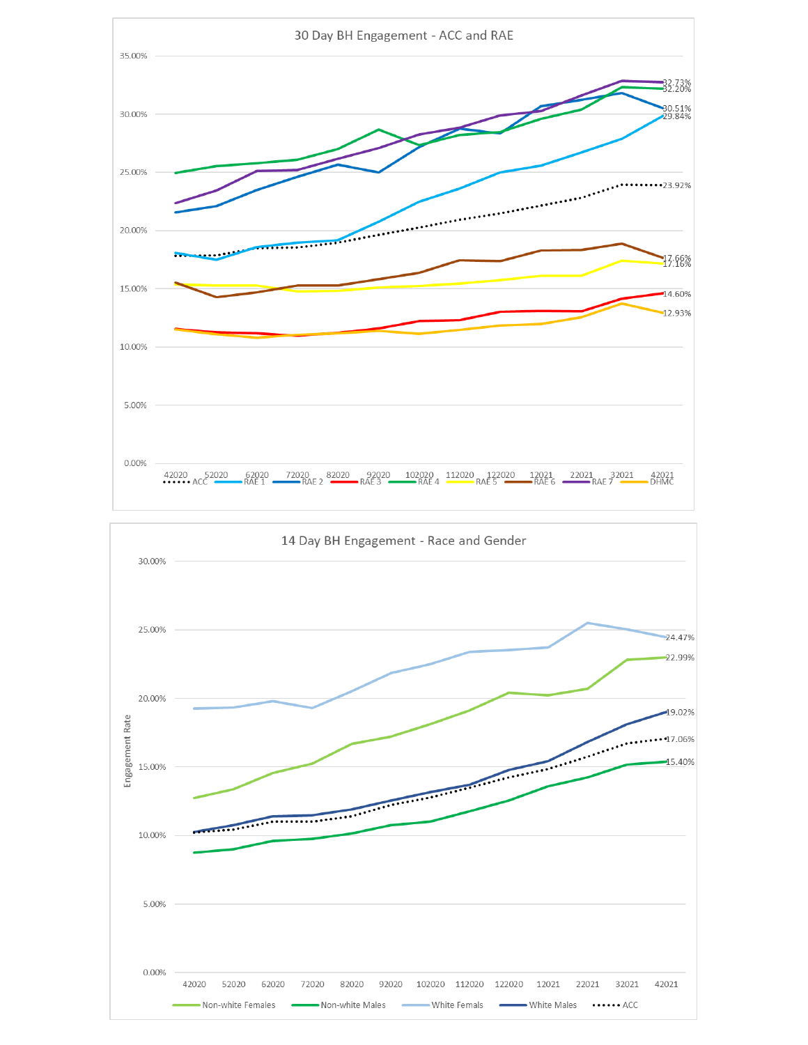